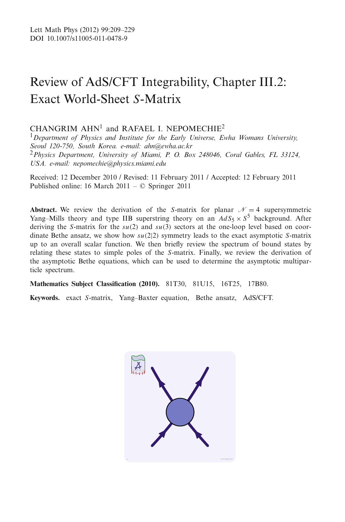# Review of AdS/CFT Integrability, Chapter III.2: Exact World-Sheet *S*-Matrix

# CHANGRIM  $AHN<sup>1</sup>$  and RAFAEL I. NEPOMECHIE<sup>2</sup>

<sup>1</sup>*Department of Physics and Institute for the Early Universe, Ewha Womans University, Seoul 120-750, South Korea. e-mail: ahn@ewha.ac.kr* <sup>2</sup>*Physics Department, University of Miami, P. O. Box 248046, Coral Gables, FL 33124, USA. e-mail: nepomechie@physics.miami.edu*

Received: 12 December 2010 / Revised: 11 February 2011 / Accepted: 12 February 2011 Published online: 16 March 2011 – © Springer 2011

**Abstract.** We review the derivation of the *S*-matrix for planar  $\mathcal{N} = 4$  supersymmetric Yang–Mills theory and type IIB superstring theory on an  $AdS_5 \times S^5$  background. After deriving the *S*-matrix for the *su*(2) and *su*(3) sectors at the one-loop level based on coordinate Bethe ansatz, we show how *su*(2|2) symmetry leads to the exact asymptotic *S*-matrix up to an overall scalar function. We then briefly review the spectrum of bound states by relating these states to simple poles of the *S*-matrix. Finally, we review the derivation of the asymptotic Bethe equations, which can be used to determine the asymptotic multiparticle spectrum.

**Mathematics Subject Classification (2010).** 81T30, 81U15, 16T25, 17B80.

**Keywords.** exact *S*-matrix, Yang–Baxter equation, Bethe ansatz, AdS/CFT.

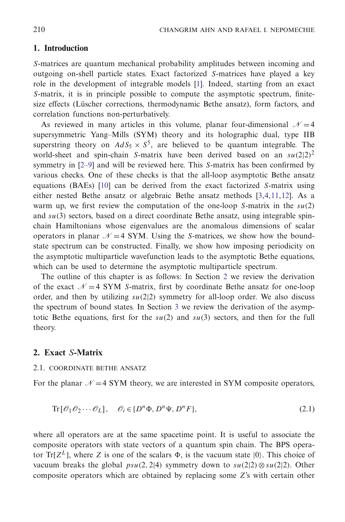# **1. Introduction**

*S*-matrices are quantum mechanical probability amplitudes between incoming and outgoing on-shell particle states. Exact factorized *S*-matrices have played a key role in the development of integrable models [\[1](#page-18-0)]. Indeed, starting from an exact *S*-matrix, it is in principle possible to compute the asymptotic spectrum, finitesize effects (Lüscher corrections, thermodynamic Bethe ansatz), form factors, and correlation functions non-perturbatively.

As reviewed in many articles in this volume, planar four-dimensional  $\mathcal{N}=4$ supersymmetric Yang–Mills (SYM) theory and its holographic dual, type IIB superstring theory on  $AdS_5 \times S^5$ , are believed to be quantum integrable. The world-sheet and spin-chain *S*-matrix have been derived based on an  $\frac{su(2|2)^2}{2}$ symmetry in [\[2](#page-18-1)[–9](#page-18-2)] and will be reviewed here. This *S*-matrix has been confirmed by various checks. One of these checks is that the all-loop asymptotic Bethe ansatz equations (BAEs) [\[10](#page-18-3)] can be derived from the exact factorized *S*-matrix using either nested Bethe ansatz or algebraic Bethe ansatz methods [\[3](#page-18-4)[,4](#page-18-5)[,11](#page-18-6)[,12\]](#page-18-7). As a warm up, we first review the computation of the one-loop *S*-matrix in the *su*(2) and *su*(3) sectors, based on a direct coordinate Bethe ansatz, using integrable spinchain Hamiltonians whose eigenvalues are the anomalous dimensions of scalar operators in planar  $\mathcal{N} = 4$  SYM. Using the *S*-matrices, we show how the boundstate spectrum can be constructed. Finally, we show how imposing periodicity on the asymptotic multiparticle wavefunction leads to the asymptotic Bethe equations, which can be used to determine the asymptotic multiparticle spectrum.

The outline of this chapter is as follows: In Section [2](#page-1-0) we review the derivation of the exact  $\mathcal{N}=4$  SYM *S*-matrix, first by coordinate Bethe ansatz for one-loop order, and then by utilizing  $su(2|2)$  symmetry for all-loop order. We also discuss the spectrum of bound states. In Section [3](#page-11-0) we review the derivation of the asymptotic Bethe equations, first for the  $su(2)$  and  $su(3)$  sectors, and then for the full theory.

# <span id="page-1-1"></span><span id="page-1-0"></span>**2. Exact** *S***-Matrix**

## 2.1. COORDINATE BETHE ANSATZ

For the planar  $\mathcal{N}=4$  SYM theory, we are interested in SYM composite operators,

$$
\text{Tr}\left[\mathcal{O}_1\mathcal{O}_2\cdots\mathcal{O}_L\right], \quad \mathcal{O}_i \in \{D^n\Phi, D^n\Psi, D^nF\},\tag{2.1}
$$

where all operators are at the same spacetime point. It is useful to associate the composite operators with state vectors of a quantum spin chain. The BPS operator Tr[ $Z^L$ ], where Z is one of the scalars  $\Phi$ , is the vacuum state  $|0\rangle$ . This choice of vacuum breaks the global  $psu(2, 2|4)$  symmetry down to  $su(2|2) \otimes su(2|2)$ . Other composite operators which are obtained by replacing some *Z*'s with certain other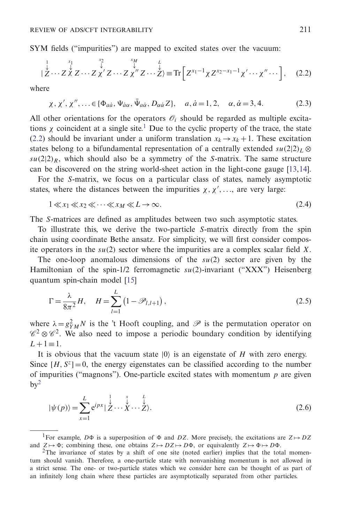SYM fields ("impurities") are mapped to excited states over the vacuum:

$$
|\stackrel{1}{\stackrel{\downarrow}{\mathcal{Z}}}\cdots\stackrel{x_1}{\stackrel{\downarrow}{\mathcal{X}}}\stackrel{x_2}{\mathcal{Z}}\cdots\stackrel{x_N}{\mathcal{Z}}\stackrel{x_M}{\mathcal{X}}\stackrel{L}{\mathcal{Z}}\cdots\stackrel{L}{\mathcal{Z}}\stackrel{L}{\mathcal{Z}}\equiv\text{Tr}\left[Z^{x_1-1}\chi Z^{x_2-x_1-1}\chi'\cdots\chi''\cdots\right],\quad(2.2)
$$

where

$$
\chi, \chi', \chi'', \ldots \in \{\Phi_{a\dot{a}}, \Psi_{\dot{a}\alpha}, \bar{\Psi}_{a\dot{\alpha}}, D_{\alpha\dot{\alpha}}Z\}, \quad a, \dot{a} = 1, 2, \quad \alpha, \dot{\alpha} = 3, 4. \tag{2.3}
$$

All other orientations for the operators  $\mathcal{O}_i$  should be regarded as multiple excitations  $\chi$  coincident at a single site.<sup>1</sup> Due to the cyclic property of the trace, the state [\(2.2\)](#page-1-1) should be invariant under a uniform translation  $x_k \rightarrow x_k + 1$ . These excitation states belong to a bifundamental representation of a centrally extended  $su(2|2)_L \otimes$  $su(2|2)_R$ , which should also be a symmetry of the *S*-matrix. The same structure can be discovered on the string world-sheet action in the light-cone gauge [\[13](#page-18-8)[,14](#page-18-9)].

For the *S*-matrix, we focus on a particular class of states, namely asymptotic states, where the distances between the impurities  $\chi, \chi', \ldots$ , are very large:

$$
1 \ll x_1 \ll x_2 \ll \cdots \ll x_M \ll L \to \infty. \tag{2.4}
$$

The *S*-matrices are defined as amplitudes between two such asymptotic states.

To illustrate this, we derive the two-particle *S*-matrix directly from the spin chain using coordinate Bethe ansatz. For simplicity, we will first consider composite operators in the *su*(2) sector where the impurities are a complex scalar field *X*.

The one-loop anomalous dimensions of the *su*(2) sector are given by the Hamiltonian of the spin-1/2 ferromagnetic *su*(2)-invariant ("XXX") Heisenberg quantum spin-chain model [\[15](#page-18-10)]

$$
\Gamma = \frac{\lambda}{8\pi^2} H, \quad H = \sum_{l=1}^{L} (1 - \mathcal{P}_{l,l+1}), \tag{2.5}
$$

where  $\lambda = g_{YM}^2 N$  is the 't Hooft coupling, and  $\mathscr P$  is the permutation operator on  $\mathscr{C}^2 \otimes \mathscr{C}^2$ . We also need to impose a periodic boundary condition by identifying  $L+1$ ≡1.

It is obvious that the vacuum state  $|0\rangle$  is an eigenstate of *H* with zero energy. Since  $[H, S^z] = 0$ , the energy eigenstates can be classified according to the number of impurities ("magnons"). One-particle excited states with momentum *p* are given  $bv^2$ 

$$
|\psi(p)\rangle = \sum_{x=1}^{L} e^{ipx} |\stackrel{\downarrow}{Z} \cdots \stackrel{\downarrow}{X} \cdots \stackrel{\downarrow}{Z}\rangle.
$$
 (2.6)

<sup>1</sup>For example, *D* $\Phi$  is a superposition of  $\Phi$  and *DZ*. More precisely, the excitations are  $Z \mapsto DZ$ and  $Z \mapsto \Phi$ ; combining these, one obtains  $Z \mapsto DZ \mapsto D\Phi$ , or equivalently  $Z \mapsto \Phi \mapsto D\Phi$ 

<sup>&</sup>lt;sup>2</sup>The invariance of states by a shift of one site (noted earlier) implies that the total momentum should vanish. Therefore, a one-particle state with nonvanishing momentum is not allowed in a strict sense. The one- or two-particle states which we consider here can be thought of as part of an infinitely long chain where these particles are asymptotically separated from other particles.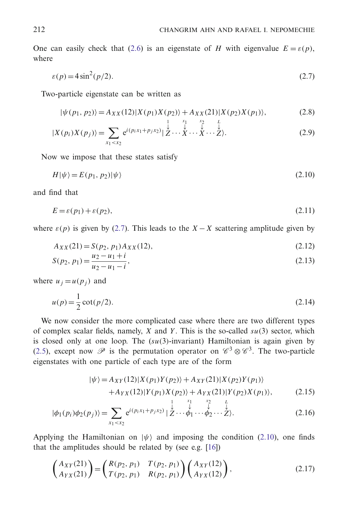One can easily check that [\(2.6\)](#page-1-1) is an eigenstate of *H* with eigenvalue  $E = \varepsilon(p)$ , where

$$
\varepsilon(p) = 4\sin^2(p/2). \tag{2.7}
$$

Two-particle eigenstate can be written as

$$
|\psi(p_1, p_2)\rangle = A_{XX}(12)|X(p_1)X(p_2)\rangle + A_{XX}(21)|X(p_2)X(p_1)\rangle, \tag{2.8}
$$

$$
|X(p_i)X(p_j)\rangle = \sum_{x_1 < x_2} e^{i(p_i x_1 + p_j x_2)} \big| \stackrel{1}{\stackrel{\downarrow}{Z}} \cdots \stackrel{x_1}{\stackrel{\downarrow}{X}} \cdots \stackrel{x_2}{\stackrel{\downarrow}{Z}} \cdots \stackrel{L}{\stackrel{\downarrow}{Z}}.
$$
\n(2.9)

Now we impose that these states satisfy

$$
H|\psi\rangle = E(p_1, p_2)|\psi\rangle \tag{2.10}
$$

and find that

$$
E = \varepsilon(p_1) + \varepsilon(p_2),\tag{2.11}
$$

where  $\varepsilon(p)$  is given by [\(2.7\)](#page-1-1). This leads to the *X* − *X* scattering amplitude given by

$$
A_{XX}(21) = S(p_2, p_1) A_{XX}(12),
$$
\n(2.12)

$$
S(p_2, p_1) = \frac{u_2 - u_1 + i}{u_2 - u_1 - i},
$$
\n(2.13)

where  $u_j = u(p_j)$  and

$$
u(p) = \frac{1}{2}\cot(p/2). \tag{2.14}
$$

We now consider the more complicated case where there are two different types of complex scalar fields, namely, *X* and *Y* . This is the so-called *su*(3) sector, which is closed only at one loop. The (*su*(3)-invariant) Hamiltonian is again given by [\(2.5\)](#page-1-1), except now  $\mathscr P$  is the permutation operator on  $\mathscr C^3 \otimes \mathscr C^3$ . The two-particle eigenstates with one particle of each type are of the form

$$
|\psi\rangle = A_{XY}(12)|X(p_1)Y(p_2)\rangle + A_{XY}(21)|X(p_2)Y(p_1)\rangle
$$
  
1.4 (12)|Y(p\_1)Y(p\_2)| + A\_{XY}(21)|Y(p\_1)Y(p\_2)| \t(2.15)

$$
+A_{YX}(12)|Y(p_1)X(p_2)\rangle + A_{YX}(21)|Y(p_2)X(p_1)\rangle, \qquad (2.15)
$$

$$
|\phi_1(p_i)\phi_2(p_j)\rangle = \sum_{x_1 < x_2} e^{i(p_i x_1 + p_j x_2)} \left| \mathcal{L} \cdots \mathcal{L} \right| \cdots \mathcal{L} \cdots \mathcal{L} \rangle. \tag{2.16}
$$

Applying the Hamiltonian on  $|\psi\rangle$  and imposing the condition [\(2.10\)](#page-1-1), one finds that the amplitudes should be related by (see e.g. [\[16\]](#page-18-11))

$$
\begin{pmatrix} A_{XY}(21) \\ A_{YX}(21) \end{pmatrix} = \begin{pmatrix} R(p_2, p_1) & T(p_2, p_1) \\ T(p_2, p_1) & R(p_2, p_1) \end{pmatrix} \begin{pmatrix} A_{XY}(12) \\ A_{YX}(12) \end{pmatrix},
$$
\n(2.17)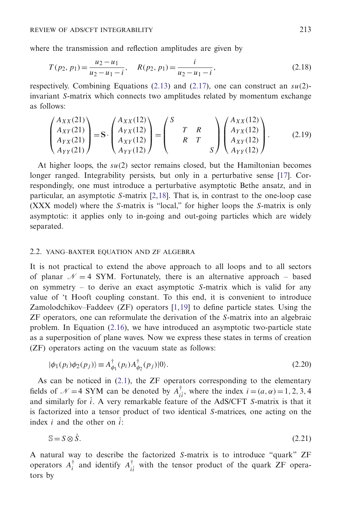where the transmission and reflection amplitudes are given by

$$
T(p_2, p_1) = \frac{u_2 - u_1}{u_2 - u_1 - i}, \quad R(p_2, p_1) = \frac{i}{u_2 - u_1 - i},
$$
\n(2.18)

respectively. Combining Equations  $(2.13)$  and  $(2.17)$ , one can construct an  $su(2)$ invariant *S*-matrix which connects two amplitudes related by momentum exchange as follows:

$$
\begin{pmatrix} A_{XX}(21) \\ A_{XY}(21) \\ A_{YY}(21) \\ A_{YY}(21) \end{pmatrix} = S \cdot \begin{pmatrix} A_{XX}(12) \\ A_{YX}(12) \\ A_{XY}(12) \\ A_{YY}(12) \end{pmatrix} = \begin{pmatrix} S & & \\ T & R & \\ & R & T & \\ & & S \end{pmatrix} \begin{pmatrix} A_{XX}(12) \\ A_{YX}(12) \\ A_{XY}(12) \\ A_{YY}(12) \end{pmatrix} .
$$
 (2.19)

At higher loops, the *su*(2) sector remains closed, but the Hamiltonian becomes longer ranged. Integrability persists, but only in a perturbative sense [\[17](#page-18-12)]. Correspondingly, one must introduce a perturbative asymptotic Bethe ansatz, and in particular, an asymptotic *S*-matrix [\[2](#page-18-1)[,18\]](#page-18-13). That is, in contrast to the one-loop case (XXX model) where the *S*-matrix is "local," for higher loops the *S*-matrix is only asymptotic: it applies only to in-going and out-going particles which are widely separated.

#### <span id="page-4-0"></span>2.2. YANG–BAXTER EQUATION AND ZF ALGEBRA

It is not practical to extend the above approach to all loops and to all sectors of planar  $\mathcal{N} = 4$  SYM. Fortunately, there is an alternative approach – based on symmetry – to derive an exact asymptotic *S*-matrix which is valid for any value of 't Hooft coupling constant. To this end, it is convenient to introduce Zamolodchikov–Faddeev (ZF) operators [\[1](#page-18-0)[,19](#page-18-14)] to define particle states. Using the ZF operators, one can reformulate the derivation of the *S*-matrix into an algebraic problem. In Equation [\(2.16\)](#page-1-1), we have introduced an asymptotic two-particle state as a superposition of plane waves. Now we express these states in terms of creation (ZF) operators acting on the vacuum state as follows:

$$
|\phi_1(p_i)\phi_2(p_j)\rangle \equiv A_{\phi_1}^{\dagger}(p_i)A_{\phi_2}^{\dagger}(p_j)|0\rangle.
$$
 (2.20)

As can be noticed in  $(2.1)$ , the ZF operators corresponding to the elementary fields of  $\mathcal{N} = 4$  SYM can be denoted by  $A_{ii}^{\dagger}$ , where the index  $i = (a, \alpha) = 1, 2, 3, 4$ and similarly for ˙*i*. A very remarkable feature of the AdS/CFT *S*-matrix is that it is factorized into a tensor product of two identical *S*-matrices, one acting on the index  $i$  and the other on  $\hat{i}$ :

$$
S = S \otimes \dot{S}.\tag{2.21}
$$

A natural way to describe the factorized *S*-matrix is to introduce "quark" ZF operators  $A_i^{\dagger}$  and identify  $A_{ii}^{\dagger}$  with the tensor product of the quark ZF operators by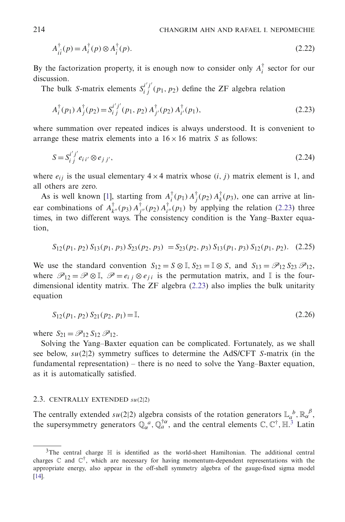$$
A_{ii}^{\dagger}(p) = A_i^{\dagger}(p) \otimes A_i^{\dagger}(p).
$$
 (2.22)

By the factorization property, it is enough now to consider only  $A_i^{\dagger}$  sector for our discussion.

The bulk *S*-matrix elements  $S_i^{i'j'}(p_1, p_2)$  define the ZF algebra relation

$$
A_i^{\dagger}(p_1) A_j^{\dagger}(p_2) = S_i^{i'j'}(p_1, p_2) A_{j'}^{\dagger}(p_2) A_{i'}^{\dagger}(p_1),
$$
\n(2.23)

where summation over repeated indices is always understood. It is convenient to arrange these matrix elements into a  $16 \times 16$  matrix *S* as follows:

$$
S = S_{ij}^{i'j'} e_{ii'} \otimes e_{j'j'},
$$
\n
$$
(2.24)
$$

where  $e_{ij}$  is the usual elementary  $4 \times 4$  matrix whose  $(i, j)$  matrix element is 1, and all others are zero.

As is well known [\[1\]](#page-18-0), starting from  $A_i^{\dagger}(p_1) A_j^{\dagger}(p_2) A_k^{\dagger}(p_3)$ , one can arrive at linear combinations of  $A_{k''}^{\dagger}(p_3) A_{j''}^{\dagger}(p_2) A_{i''}^{\dagger}(p_1)$  by applying the relation [\(2.23\)](#page-4-0) three times, in two different ways. The consistency condition is the Yang–Baxter equation,

$$
S_{12}(p_1, p_2) S_{13}(p_1, p_3) S_{23}(p_2, p_3) = S_{23}(p_2, p_3) S_{13}(p_1, p_3) S_{12}(p_1, p_2). \tag{2.25}
$$

We use the standard convention  $S_{12} = S \otimes \mathbb{I}$ ,  $S_{23} = \mathbb{I} \otimes S$ , and  $S_{13} = \mathcal{P}_{12} S_{23} \mathcal{P}_{12}$ , where  $\mathscr{P}_{12} = \mathscr{P} \otimes \mathbb{I}$ ,  $\mathscr{P} = e_{ij} \otimes e_{ji}$  is the permutation matrix, and  $\mathbb{I}$  is the fourdimensional identity matrix. The ZF algebra [\(2.23\)](#page-4-0) also implies the bulk unitarity equation

$$
S_{12}(p_1, p_2) S_{21}(p_2, p_1) = \mathbb{I}, \tag{2.26}
$$

where  $S_{21} = \mathscr{P}_{12} S_{12} \mathscr{P}_{12}$ .

Solving the Yang–Baxter equation can be complicated. Fortunately, as we shall see below, *su*(2|2) symmetry suffices to determine the AdS/CFT *S*-matrix (in the fundamental representation) – there is no need to solve the Yang–Baxter equation, as it is automatically satisfied.

#### <span id="page-5-0"></span>2.3. CENTRALLY EXTENDED *su*(2|2)

The centrally extended  $su(2|2)$  algebra consists of the rotation generators  $\mathbb{L}_a^b$ ,  $\mathbb{R}_\alpha^{\beta}$ , the supersymmetry generators  $\mathbb{Q}_{\alpha}^a$ ,  $\mathbb{Q}_{a}^{\dagger\alpha}$ , and the central elements  $\mathbb{C}, \mathbb{C}^{\dagger}, \mathbb{H}$ .<sup>3</sup> Latin

 $3$ The central charge  $\mathbb H$  is identified as the world-sheet Hamiltonian. The additional central charges  $\mathbb C$  and  $\mathbb C^{\dagger}$ , which are necessary for having momentum-dependent representations with the appropriate energy, also appear in the off-shell symmetry algebra of the gauge-fixed sigma model [\[14\]](#page-18-9).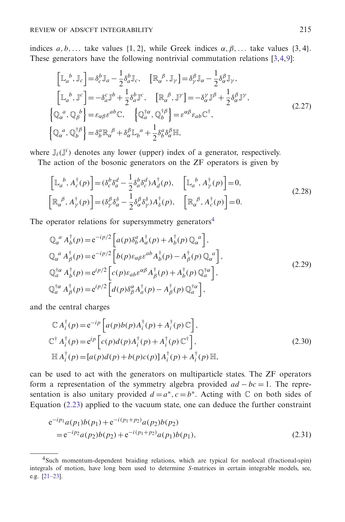indices  $a, b, \ldots$  take values {1, 2}, while Greek indices  $\alpha, \beta, \ldots$  take values {3, 4}. These generators have the following nontrivial commutation relations [\[3](#page-18-4)[,4,](#page-18-5)[9\]](#page-18-2):

$$
\begin{aligned}\n\left[\mathbb{L}_{a}{}^{b},\mathbb{J}_{c}\right] &= \delta_{c}^{b}\mathbb{J}_{a} - \frac{1}{2}\delta_{a}^{b}\mathbb{J}_{c}, \quad \left[\mathbb{R}_{\alpha}{}^{\beta},\mathbb{J}_{\gamma}\right] = \delta_{\gamma}^{\beta}\mathbb{J}_{\alpha} - \frac{1}{2}\delta_{\alpha}^{\beta}\mathbb{J}_{\gamma}, \\
\left[\mathbb{L}_{a}{}^{b},\mathbb{J}^{c}\right] &= -\delta_{a}^{c}\mathbb{J}^{b} + \frac{1}{2}\delta_{a}^{b}\mathbb{J}^{c}, \quad \left[\mathbb{R}_{\alpha}{}^{\beta},\mathbb{J}^{\gamma}\right] = -\delta_{\alpha}^{\gamma}\mathbb{J}^{\beta} + \frac{1}{2}\delta_{\alpha}^{\beta}\mathbb{J}^{\gamma}, \\
\left\{\mathbb{Q}_{\alpha}{}^{a},\mathbb{Q}_{\beta}{}^{b}\right\} &= \varepsilon_{\alpha\beta}\varepsilon^{ab}\mathbb{C}, \quad \left\{\mathbb{Q}_{a}^{\dagger\alpha},\mathbb{Q}_{b}^{\dagger\beta}\right\} = \varepsilon^{\alpha\beta}\varepsilon_{ab}\mathbb{C}^{\dagger}, \\
\left\{\mathbb{Q}_{\alpha}{}^{a},\mathbb{Q}_{b}^{\dagger\beta}\right\} &= \delta_{\beta}^{a}\mathbb{R}_{\alpha}{}^{\beta} + \delta_{\alpha}^{\beta}\mathbb{L}_{b}{}^{a} + \frac{1}{2}\delta_{b}^{a}\delta_{\alpha}^{\beta}\mathbb{H},\n\end{aligned} \tag{2.27}
$$

where  $\mathbb{J}_i(\mathbb{J}^i)$  denotes any lower (upper) index of a generator, respectively.

The action of the bosonic generators on the ZF operators is given by

$$
\begin{aligned}\n\left[\mathbb{L}_{a}{}^{b}, A_{c}^{\dagger}(p)\right] &= (\delta_{c}^{b} \delta_{a}^{d} - \frac{1}{2} \delta_{a}^{b} \delta_{c}^{d}) A_{d}^{\dagger}(p), \quad \left[\mathbb{L}_{a}{}^{b}, A_{\gamma}^{\dagger}(p)\right] = 0, \\
\left[\mathbb{R}_{\alpha}{}^{\beta}, A_{\gamma}^{\dagger}(p)\right] &= (\delta_{\gamma}^{\beta} \delta_{\alpha}^{\delta} - \frac{1}{2} \delta_{\alpha}^{\beta} \delta_{\gamma}^{\delta}) A_{\delta}^{\dagger}(p), \quad \left[\mathbb{R}_{\alpha}{}^{\beta}, A_{c}^{\dagger}(p)\right] = 0.\n\end{aligned} \tag{2.28}
$$

The operator relations for supersymmetry generators<sup>4</sup>

$$
\begin{split}\n\mathbb{Q}_{\alpha}^{\ a} A_{b}^{\dagger}(p) &= e^{-ip/2} \left[ a(p) \delta_{b}^{a} A_{\alpha}^{\dagger}(p) + A_{b}^{\dagger}(p) \mathbb{Q}_{\alpha}^{\ a} \right], \\
\mathbb{Q}_{\alpha}^{\ a} A_{\beta}^{\dagger}(p) &= e^{-ip/2} \left[ b(p) \varepsilon_{\alpha\beta} \varepsilon^{ab} A_{b}^{\dagger}(p) - A_{\beta}^{\dagger}(p) \mathbb{Q}_{\alpha}^{\ a} \right], \\
\mathbb{Q}_{a}^{\dagger\alpha} A_{b}^{\dagger}(p) &= e^{ip/2} \left[ c(p) \varepsilon_{ab} \varepsilon^{\alpha\beta} A_{\beta}^{\dagger}(p) + A_{b}^{\dagger}(p) \mathbb{Q}_{a}^{\dagger\alpha} \right], \\
\mathbb{Q}_{a}^{\dagger\alpha} A_{\beta}^{\dagger}(p) &= e^{ip/2} \left[ d(p) \delta_{\beta}^{\alpha} A_{a}^{\dagger}(p) - A_{\beta}^{\dagger}(p) \mathbb{Q}_{a}^{\dagger\alpha} \right],\n\end{split} \tag{2.29}
$$

and the central charges

$$
\mathbb{C} A_i^{\dagger}(p) = e^{-ip} \left[ a(p)b(p) A_i^{\dagger}(p) + A_i^{\dagger}(p) \mathbb{C} \right],
$$
  
\n
$$
\mathbb{C}^{\dagger} A_i^{\dagger}(p) = e^{ip} \left[ c(p)d(p) A_i^{\dagger}(p) + A_i^{\dagger}(p) \mathbb{C}^{\dagger} \right],
$$
  
\n
$$
\mathbb{H} A_i^{\dagger}(p) = \left[ a(p)d(p) + b(p)c(p) \right] A_i^{\dagger}(p) + A_i^{\dagger}(p) \mathbb{H},
$$
\n(2.30)

can be used to act with the generators on multiparticle states. The ZF operators form a representation of the symmetry algebra provided *ad* − *bc* = 1. The representation is also unitary provided  $d = a^*$ ,  $c = b^*$ . Acting with  $\mathbb C$  on both sides of Equation  $(2.23)$  applied to the vacuum state, one can deduce the further constraint

$$
e^{-ip_1}a(p_1)b(p_1) + e^{-i(p_1+p_2)}a(p_2)b(p_2)
$$
  
= 
$$
e^{-ip_2}a(p_2)b(p_2) + e^{-i(p_1+p_2)}a(p_1)b(p_1),
$$
 (2.31)

<sup>4</sup>Such momentum-dependent braiding relations, which are typical for nonlocal (fractional-spin) integrals of motion, have long been used to determine *S*-matrices in certain integrable models, see, e.g. [\[21](#page-19-0)[–23\]](#page-19-1).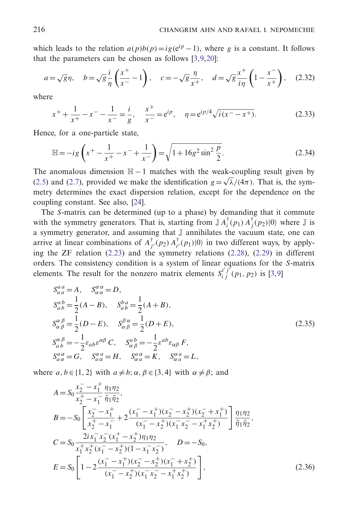which leads to the relation  $a(p)b(p) = ig(e^{ip} - 1)$ , where *g* is a constant. It follows that the parameters can be chosen as follows [\[3](#page-18-4)[,9](#page-18-2)[,20](#page-18-15)]:

$$
a = \sqrt{g}\eta
$$
,  $b = \sqrt{g}\frac{i}{\eta}\left(\frac{x^+}{x^-} - 1\right)$ ,  $c = -\sqrt{g}\frac{\eta}{x^+}$ ,  $d = \sqrt{g}\frac{x^+}{i\eta}\left(1 - \frac{x^-}{x^+}\right)$ , (2.32)

where

$$
x^{+} + \frac{1}{x^{+}} - x^{-} - \frac{1}{x^{-}} = \frac{i}{g}, \quad \frac{x^{+}}{x^{-}} = e^{ip}, \quad \eta = e^{ip/4} \sqrt{i(x^{-} - x^{+})}.
$$
 (2.33)

Hence, for a one-particle state,

$$
\mathbb{H} = -ig\left(x^{+} - \frac{1}{x^{+}} - x^{-} + \frac{1}{x^{-}}\right) = \sqrt{1 + 16g^{2}\sin^{2}\frac{p}{2}}.
$$
\n(2.34)

The anomalous dimension  $H - 1$  matches with the weak-coupling result given by [\(2.5\)](#page-1-1) and [\(2.7\)](#page-1-1), provided we make the identification  $g = \sqrt{\lambda}/(4\pi)$ . That is, the symmetry determines the exact dispersion relation, except for the dependence on the coupling constant. See also, [\[24](#page-19-2)].

The *S*-matrix can be determined (up to a phase) by demanding that it commute with the symmetry generators. That is, starting from  $\mathbb{J} A_i^{\dagger}(p_1) A_j^{\dagger}(p_2)|0\rangle$  where  $\mathbb{J}$  is a symmetry generator, and assuming that J annihilates the vacuum state, one can arrive at linear combinations of  $A_{j'}^{\dagger}(p_2) A_{i'}^{\dagger}(p_1)|0\rangle$  in two different ways, by applying the ZF relation [\(2.23\)](#page-4-0) and the symmetry relations [\(2.28\)](#page-5-0), [\(2.29\)](#page-5-0) in different orders. The consistency condition is a system of linear equations for the *S*-matrix elements. The result for the nonzero matrix elements  $S_i^{i'j'}(p_1, p_2)$  is [\[3](#page-18-4)[,9](#page-18-2)]

$$
S_{aa}^{aa} = A, \quad S_{\alpha\alpha}^{\alpha\alpha} = D,
$$
  
\n
$$
S_{ab}^{ab} = \frac{1}{2}(A - B), \quad S_{ab}^{ba} = \frac{1}{2}(A + B),
$$
  
\n
$$
S_{\alpha\beta}^{\alpha\beta} = \frac{1}{2}(D - E), \quad S_{\alpha\beta}^{\beta\alpha} = \frac{1}{2}(D + E),
$$
  
\n
$$
S_{ab}^{\alpha\beta} = -\frac{1}{2}\varepsilon_{ab}\varepsilon^{\alpha\beta}C, \quad S_{\alpha\beta}^{ab} = -\frac{1}{2}\varepsilon^{ab}\varepsilon_{\alpha\beta}F,
$$
  
\n
$$
S_{a\alpha}^{a\alpha} = G, \quad S_{a\alpha}^{a\alpha} = H, \quad S_{\alpha\alpha}^{a\alpha} = K, \quad S_{\alpha\alpha}^{\alpha\alpha} = L,
$$
\n(2.35)

where  $a, b \in \{1, 2\}$  with  $a \neq b$ ;  $\alpha, \beta \in \{3, 4\}$  with  $\alpha \neq \beta$ ; and

$$
A = S_0 \frac{x_2^- - x_1^+}{x_2^+ - x_1^-} \frac{\eta_1 \eta_2}{\tilde{\eta}_1 \tilde{\eta}_2},
$$
  
\n
$$
B = -S_0 \left[ \frac{x_2^- - x_1^+}{x_2^+ - x_1^-} + 2 \frac{(x_1^- - x_1^+)(x_2^- - x_2^+)(x_2^- + x_1^+)}{(x_1^- - x_2^+)(x_1^- x_2^- - x_1^+ x_2^+)} \right] \frac{\eta_1 \eta_2}{\tilde{\eta}_1 \tilde{\eta}_2},
$$
  
\n
$$
C = S_0 \frac{2ix_1^- x_2^- (x_1^+ - x_2^+) \eta_1 \eta_2}{x_1^+ x_2^+ (x_1^- - x_2^+)(1 - x_1^- x_2^-)}, \quad D = -S_0,
$$
  
\n
$$
E = S_0 \left[ 1 - 2 \frac{(x_1^- - x_1^+)(x_2^- - x_2^+)(x_1^- + x_2^+)}{(x_1^- - x_2^+)(x_1^- x_2^- - x_1^+ x_2^+)} \right],
$$
  
\n(2.36)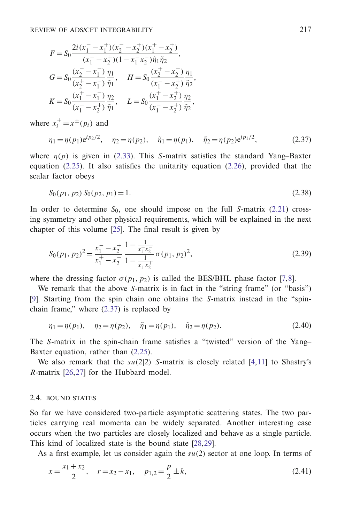$$
F = S_0 \frac{2i(x_1^- - x_1^+) (x_2^- - x_2^+) (x_1^+ - x_2^+)}{(x_1^- - x_2^+) (1 - x_1^- x_2^-) \tilde{\eta}_1 \tilde{\eta}_2},
$$
  
\n
$$
G = S_0 \frac{(x_2^- - x_1^-)}{(x_2^+ - x_1^-)} \frac{\eta_1}{\tilde{\eta}_1}, \quad H = S_0 \frac{(x_2^+ - x_2^-)}{(x_1^- - x_2^+)} \frac{\eta_1}{\tilde{\eta}_2},
$$
  
\n
$$
K = S_0 \frac{(x_1^+ - x_1^-)}{(x_1^- - x_2^+)} \frac{\eta_2}{\tilde{\eta}_1}, \quad L = S_0 \frac{(x_1^+ - x_2^+)}{(x_1^- - x_2^+)} \frac{\eta_2}{\tilde{\eta}_2},
$$

where  $x_i^{\pm} = x^{\pm}(p_i)$  and

$$
\eta_1 = \eta(p_1) e^{ip_2/2}, \quad \eta_2 = \eta(p_2), \quad \tilde{\eta}_1 = \eta(p_1), \quad \tilde{\eta}_2 = \eta(p_2) e^{ip_1/2}, \tag{2.37}
$$

where  $\eta(p)$  is given in [\(2.33\)](#page-5-0). This *S*-matrix satisfies the standard Yang–Baxter equation [\(2.25\)](#page-4-0). It also satisfies the unitarity equation [\(2.26\)](#page-4-0), provided that the scalar factor obeys

$$
S_0(p_1, p_2) S_0(p_2, p_1) = 1.
$$
\n(2.38)

In order to determine  $S_0$ , one should impose on the full *S*-matrix [\(2.21\)](#page-4-0) crossing symmetry and other physical requirements, which will be explained in the next chapter of this volume [\[25\]](#page-19-3). The final result is given by

$$
S_0(p_1, p_2)^2 = \frac{x_1^- - x_2^+}{x_1^+ - x_2^-} \frac{1 - \frac{1}{x_1^+ x_2^-}}{1 - \frac{1}{x_1^- x_2^+}} \sigma(p_1, p_2)^2,
$$
\n(2.39)

where the dressing factor  $\sigma(p_1, p_2)$  is called the BES/BHL phase factor [\[7](#page-18-16)[,8](#page-18-17)].

We remark that the above *S*-matrix is in fact in the "string frame" (or "basis") [\[9\]](#page-18-2). Starting from the spin chain one obtains the *S*-matrix instead in the "spinchain frame," where [\(2.37\)](#page-5-0) is replaced by

$$
\eta_1 = \eta(p_1), \quad \eta_2 = \eta(p_2), \quad \tilde{\eta}_1 = \eta(p_1), \quad \tilde{\eta}_2 = \eta(p_2). \tag{2.40}
$$

The *S*-matrix in the spin-chain frame satisfies a "twisted" version of the Yang– Baxter equation, rather than [\(2.25\)](#page-4-0).

We also remark that the  $su(2|2)$  *S*-matrix is closely related [\[4](#page-18-5)[,11](#page-18-6)] to Shastry's *R*-matrix [\[26](#page-19-4)[,27](#page-19-5)] for the Hubbard model.

## <span id="page-8-0"></span>2.4. BOUND STATES

So far we have considered two-particle asymptotic scattering states. The two particles carrying real momenta can be widely separated. Another interesting case occurs when the two particles are closely localized and behave as a single particle. This kind of localized state is the bound state [\[28](#page-19-6)[,29](#page-19-7)].

As a first example, let us consider again the *su*(2) sector at one loop. In terms of

$$
x = \frac{x_1 + x_2}{2}, \quad r = x_2 - x_1, \quad p_{1,2} = \frac{p}{2} \pm k,\tag{2.41}
$$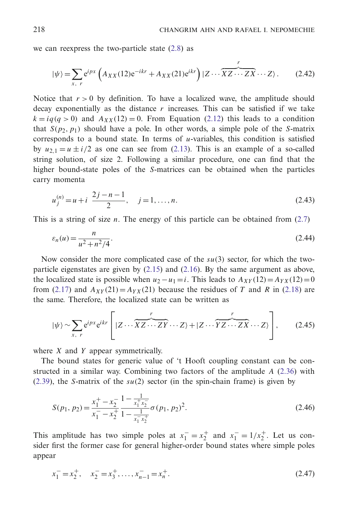we can reexpress the two-particle state [\(2.8\)](#page-1-1) as

$$
|\psi\rangle = \sum_{x, r} e^{ipx} \left( A_{XX}(12) e^{-ikr} + A_{XX}(21) e^{ikr} \right) |Z \cdots \overbrace{XZ \cdots ZX}^{r} \cdots Z\rangle. \tag{2.42}
$$

Notice that  $r > 0$  by definition. To have a localized wave, the amplitude should decay exponentially as the distance  $r$  increases. This can be satisfied if we take  $k = iq(q > 0)$  and  $A_{XX}(12) = 0$ . From Equation [\(2.12\)](#page-1-1) this leads to a condition that  $S(p_2, p_1)$  should have a pole. In other words, a simple pole of the *S*-matrix corresponds to a bound state. In terms of  $u$ -variables, this condition is satisfied by  $u_{2,1} = u \pm i/2$  as one can see from [\(2.13\)](#page-1-1). This is an example of a so-called string solution, of size 2. Following a similar procedure, one can find that the higher bound-state poles of the *S*-matrices can be obtained when the particles carry momenta

$$
u_j^{(n)} = u + i \frac{2j - n - 1}{2}, \quad j = 1, ..., n.
$$
 (2.43)

This is a string of size *n*. The energy of this particle can be obtained from [\(2.7\)](#page-1-1)

$$
\varepsilon_n(u) = \frac{n}{u^2 + n^2/4}.\tag{2.44}
$$

Now consider the more complicated case of the *su*(3) sector, for which the twoparticle eigenstates are given by  $(2.15)$  and  $(2.16)$ . By the same argument as above, the localized state is possible when  $u_2 - u_1 = i$ . This leads to  $A_{XY}(12) = A_{YX}(12) = 0$ from [\(2.17\)](#page-1-1) and  $A_{XY}(21) = A_{YX}(21)$  because the residues of *T* and *R* in [\(2.18\)](#page-1-1) are the same. Therefore, the localized state can be written as

$$
|\psi\rangle \sim \sum_{x, r} e^{ipx} e^{ikr} \left[ |Z \cdots \overbrace{XZ \cdots ZY}^{r} \cdots Z\rangle + |Z \cdots \overbrace{YZ \cdots ZX}^{r} \cdots Z\rangle \right], \qquad (2.45)
$$

where *X* and *Y* appear symmetrically.

The bound states for generic value of 't Hooft coupling constant can be constructed in a similar way. Combining two factors of the amplitude *A* [\(2.36\)](#page-5-0) with [\(2.39\)](#page-5-0), the *S*-matrix of the *su*(2) sector (in the spin-chain frame) is given by

$$
S(p_1, p_2) = \frac{x_1^+ - x_2^-}{x_1^- - x_2^+} \frac{1 - \frac{1}{x_1^+ x_2^-}}{1 - \frac{1}{x_1^- x_2^+}} \sigma(p_1, p_2)^2.
$$
 (2.46)

This amplitude has two simple poles at  $x_1^- = x_2^+$  and  $x_1^- = 1/x_2^+$ . Let us consider first the former case for general higher-order bound states where simple poles appear

$$
x_1^- = x_2^+, \quad x_2^- = x_3^+, \dots, x_{n-1}^- = x_n^+.
$$
\n(2.47)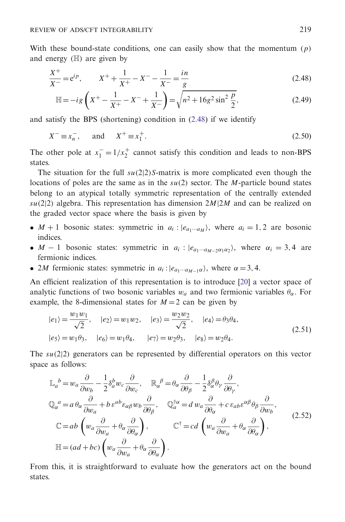With these bound-state conditions, one can easily show that the momentum (*p*) and energy (H) are given by

$$
\frac{X^{+}}{X^{-}} = e^{ip}, \qquad X^{+} + \frac{1}{X^{+}} - X^{-} - \frac{1}{X^{-}} = \frac{in}{g}
$$
\n(2.48)

$$
\mathbb{H} = -ig\left(X^{+} - \frac{1}{X^{+}} - X^{-} + \frac{1}{X^{-}}\right) = \sqrt{n^{2} + 16g^{2}\sin^{2}\frac{p}{2}},\tag{2.49}
$$

and satisfy the BPS (shortening) condition in [\(2.48\)](#page-8-0) if we identify

$$
X^- \equiv x_n^-, \quad \text{and} \quad X^+ \equiv x_1^+.
$$
 (2.50)

The other pole at  $x_1^- = 1/x_2^+$  cannot satisfy this condition and leads to non-BPS states.

The situation for the full  $su(2|2)$ *S*-matrix is more complicated even though the locations of poles are the same as in the *su*(2) sector. The *M*-particle bound states belong to an atypical totally symmetric representation of the centrally extended  $su(2|2)$  algebra. This representation has dimension  $2M|2M$  and can be realized on the graded vector space where the basis is given by

- $M + 1$  bosonic states: symmetric in  $a_i$ :  $|e_{a_1 \cdots a_M}\rangle$ , where  $a_i = 1, 2$  are bosonic indices.
- *M* − 1 bosonic states: symmetric in  $a_i$  :  $|e_{a_1\cdots a_{M-2}a_1\alpha_2}\rangle$ , where  $\alpha_i = 3, 4$  are fermionic indices.
- 2*M* fermionic states: symmetric in  $a_i$ :  $|e_{a_1\cdots a_{M-1}\alpha}$ , where  $\alpha = 3, 4$ .

An efficient realization of this representation is to introduce [\[20](#page-18-15)] a vector space of analytic functions of two bosonic variables  $w_a$  and two fermionic variables  $\theta_\alpha$ . For example, the 8-dimensional states for  $M = 2$  can be given by

$$
|e_1\rangle = \frac{w_1 w_1}{\sqrt{2}}, \quad |e_2\rangle = w_1 w_2, \quad |e_3\rangle = \frac{w_2 w_2}{\sqrt{2}}, \quad |e_4\rangle = \theta_3 \theta_4,
$$
  

$$
|e_5\rangle = w_1 \theta_3, \quad |e_6\rangle = w_1 \theta_4, \quad |e_7\rangle = w_2 \theta_3, \quad |e_8\rangle = w_2 \theta_4.
$$
 (2.51)

The *su*(2|2) generators can be represented by differential operators on this vector space as follows:

$$
\mathbb{L}_{a}^{b} = w_{a} \frac{\partial}{\partial w_{b}} - \frac{1}{2} \delta_{a}^{b} w_{c} \frac{\partial}{\partial w_{c}}, \quad \mathbb{R}_{\alpha}^{b} = \theta_{\alpha} \frac{\partial}{\partial \theta_{\beta}} - \frac{1}{2} \delta_{\alpha}^{b} \theta_{\gamma} \frac{\partial}{\partial \theta_{\gamma}},
$$
\n
$$
\mathbb{Q}_{\alpha}^{a} = a \theta_{\alpha} \frac{\partial}{\partial w_{a}} + b \varepsilon^{ab} \varepsilon_{\alpha\beta} w_{b} \frac{\partial}{\partial \theta_{\beta}}, \quad \mathbb{Q}_{a}^{\dagger \alpha} = d w_{a} \frac{\partial}{\partial \theta_{\alpha}} + c \varepsilon_{ab} \varepsilon^{\alpha \beta} \theta_{\beta} \frac{\partial}{\partial w_{b}},
$$
\n
$$
\mathbb{C} = ab \left( w_{a} \frac{\partial}{\partial w_{a}} + \theta_{\alpha} \frac{\partial}{\partial \theta_{\alpha}} \right), \qquad \mathbb{C}^{\dagger} = cd \left( w_{a} \frac{\partial}{\partial w_{a}} + \theta_{\alpha} \frac{\partial}{\partial \theta_{\alpha}} \right),
$$
\n
$$
\mathbb{H} = (ad + bc) \left( w_{a} \frac{\partial}{\partial w_{a}} + \theta_{\alpha} \frac{\partial}{\partial \theta_{\alpha}} \right).
$$
\n(2.52)

From this, it is straightforward to evaluate how the generators act on the bound states.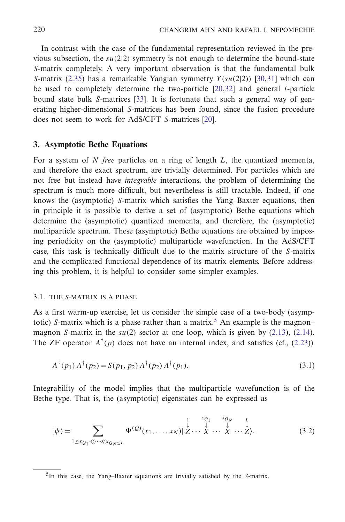In contrast with the case of the fundamental representation reviewed in the previous subsection, the  $su(2|2)$  symmetry is not enough to determine the bound-state *S*-matrix completely. A very important observation is that the fundamental bulk *S*-matrix [\(2.35\)](#page-5-0) has a remarkable Yangian symmetry *Y* (*su*(2|2)) [\[30](#page-19-8)[,31](#page-19-9)] which can be used to completely determine the two-particle [\[20,](#page-18-15)[32\]](#page-19-10) and general *l*-particle bound state bulk *S*-matrices [\[33](#page-19-11)]. It is fortunate that such a general way of generating higher-dimensional *S*-matrices has been found, since the fusion procedure does not seem to work for AdS/CFT *S*-matrices [\[20](#page-18-15)].

# <span id="page-11-0"></span>**3. Asymptotic Bethe Equations**

For a system of *N free* particles on a ring of length *L*, the quantized momenta, and therefore the exact spectrum, are trivially determined. For particles which are not free but instead have *integrable* interactions, the problem of determining the spectrum is much more difficult, but nevertheless is still tractable. Indeed, if one knows the (asymptotic) *S*-matrix which satisfies the Yang–Baxter equations, then in principle it is possible to derive a set of (asymptotic) Bethe equations which determine the (asymptotic) quantized momenta, and therefore, the (asymptotic) multiparticle spectrum. These (asymptotic) Bethe equations are obtained by imposing periodicity on the (asymptotic) multiparticle wavefunction. In the AdS/CFT case, this task is technically difficult due to the matrix structure of the *S*-matrix and the complicated functional dependence of its matrix elements. Before addressing this problem, it is helpful to consider some simpler examples.

#### <span id="page-11-1"></span>3.1. THE *S*-MATRIX IS A PHASE

As a first warm-up exercise, let us consider the simple case of a two-body (asymptotic) *S*-matrix which is a phase rather than a matrix.<sup>5</sup> An example is the magnon– magnon *S*-matrix in the  $su(2)$  sector at one loop, which is given by [\(2.13\)](#page-1-1), [\(2.14\)](#page-1-1). The ZF operator  $A^{\dagger}(p)$  does not have an internal index, and satisfies (cf., [\(2.23\)](#page-4-0))

$$
A^{\dagger}(p_1) A^{\dagger}(p_2) = S(p_1, p_2) A^{\dagger}(p_2) A^{\dagger}(p_1).
$$
 (3.1)

Integrability of the model implies that the multiparticle wavefunction is of the Bethe type. That is, the (asymptotic) eigenstates can be expressed as

$$
|\psi\rangle = \sum_{1 \le x_{Q_1} \ll \cdots \ll x_{Q_N} \le L} \Psi^{(Q)}(x_1, \ldots, x_N) | \overset{\downarrow}{\underset{\downarrow}{\mathcal{Z}}} \cdots \overset{\downarrow \underset{\downarrow}{\mathcal{Y}}} {\underset{\downarrow}{\mathcal{Z}}} \cdots \overset{\downarrow \underset{\downarrow}{\mathcal{Y}}} {\underset{\downarrow}{\mathcal{Y}}} \cdots \overset{\downarrow}{\underset{\downarrow}{\mathcal{Z}}} \cdots \overset{\downarrow}{\underset{\downarrow}{\mathcal{Y}}} \tag{3.2}
$$

<sup>5</sup>In this case, the Yang–Baxter equations are trivially satisfied by the *S*-matrix.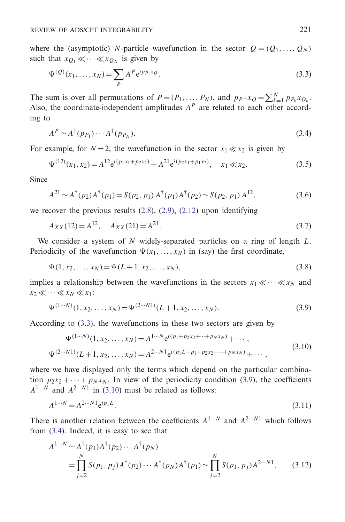where the (asymptotic) *N*-particle wavefunction in the sector  $Q = (Q_1, \ldots, Q_N)$ such that  $x_{O_1} \ll \cdots \ll x_{O_N}$  is given by

$$
\Psi^{(Q)}(x_1,\ldots,x_N) = \sum_P A^P e^{i p_P \cdot x_Q}.
$$
\n(3.3)

The sum is over all permutations of  $P = (P_1, \ldots, P_N)$ , and  $p_P \cdot x_Q = \sum_{k=1}^N p_{P_k} x_{Q_k}$ . Also, the coordinate-independent amplitudes  $A^P$  are related to each other according to

$$
A^P \sim A^{\dagger}(p_{P_1}) \cdots A^{\dagger}(p_{P_N}). \tag{3.4}
$$

For example, for  $N = 2$ , the wavefunction in the sector  $x_1 \ll x_2$  is given by

$$
\Psi^{(12)}(x_1, x_2) = A^{12} e^{i(p_1 x_1 + p_2 x_2)} + A^{21} e^{i(p_2 x_1 + p_1 x_2)}, \quad x_1 \ll x_2.
$$
\n(3.5)

Since

$$
A^{21} \sim A^{\dagger}(p_2) A^{\dagger}(p_1) = S(p_2, p_1) A^{\dagger}(p_1) A^{\dagger}(p_2) \sim S(p_2, p_1) A^{12}, \tag{3.6}
$$

we recover the previous results  $(2.8)$ ,  $(2.9)$ ,  $(2.12)$  upon identifying

$$
A_{XX}(12) = A^{12}, \quad A_{XX}(21) = A^{21}.
$$
\n(3.7)

We consider a system of *N* widely-separated particles on a ring of length *L*. Periodicity of the wavefunction  $\Psi(x_1,...,x_N)$  in (say) the first coordinate,

$$
\Psi(1, x_2, \dots, x_N) = \Psi(L+1, x_2, \dots, x_N),
$$
\n(3.8)

implies a relationship between the wavefunctions in the sectors  $x_1 \ll \cdots \ll x_N$  and  $x_2 \ll \cdots \ll x_N \ll x_1$ :

$$
\Psi^{(1\cdots N)}(1, x_2, \dots, x_N) = \Psi^{(2\cdots N1)}(L+1, x_2, \dots, x_N).
$$
\n(3.9)

According to [\(3.3\)](#page-11-1), the wavefunctions in these two sectors are given by

$$
\Psi^{(1\cdots N)}(1, x_2, \dots, x_N) = A^{1\cdots N} e^{i(p_1 + p_2 x_2 + \dots + p_N x_N)} + \cdots,
$$
  

$$
\Psi^{(2\cdots N1)}(L+1, x_2, \dots, x_N) = A^{2\cdots N1} e^{i(p_1 L + p_1 + p_2 x_2 + \dots + p_N x_N)} + \cdots,
$$
 (3.10)

where we have displayed only the terms which depend on the particular combination  $p_2x_2 + \cdots + p_Nx_N$ . In view of the periodicity condition [\(3.9\)](#page-11-1), the coefficients  $A^{1 \cdots N}$  and  $A^{2 \cdots N1}$  in [\(3.10\)](#page-11-1) must be related as follows:

$$
A^{1...N} = A^{2...N1} e^{ip_1 L}.
$$
\n(3.11)

There is another relation between the coefficients  $A^{1...N}$  and  $A^{2...N1}$  which follows from [\(3.4\)](#page-11-1). Indeed, it is easy to see that

$$
A^{1\cdots N} \sim A^{\dagger}(p_1) A^{\dagger}(p_2) \cdots A^{\dagger}(p_N)
$$
  
= 
$$
\prod_{j=2}^{N} S(p_1, p_j) A^{\dagger}(p_2) \cdots A^{\dagger}(p_N) A^{\dagger}(p_1) \sim \prod_{j=2}^{N} S(p_1, p_j) A^{2\cdots N1},
$$
 (3.12)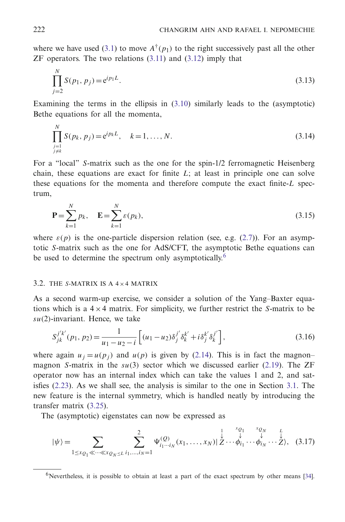where we have used [\(3.1\)](#page-11-1) to move  $A^{\dagger}(p_1)$  to the right successively past all the other  $ZF$  operators. The two relations  $(3.11)$  and  $(3.12)$  imply that

$$
\prod_{j=2}^{N} S(p_1, p_j) = e^{i p_1 L}.
$$
\n(3.13)

Examining the terms in the ellipsis in  $(3.10)$  similarly leads to the (asymptotic) Bethe equations for all the momenta,

$$
\prod_{\substack{j=1\\j\neq k}}^{N} S(p_k, p_j) = e^{ip_k L}, \quad k = 1, ..., N.
$$
\n(3.14)

For a "local" *S*-matrix such as the one for the spin-1/2 ferromagnetic Heisenberg chain, these equations are exact for finite *L*; at least in principle one can solve these equations for the momenta and therefore compute the exact finite-*L* spectrum,

$$
\mathbf{P} = \sum_{k=1}^{N} p_k, \quad \mathbf{E} = \sum_{k=1}^{N} \varepsilon(p_k), \tag{3.15}
$$

where  $\varepsilon(p)$  is the one-particle dispersion relation (see, e.g. [\(2.7\)](#page-1-1)). For an asymptotic *S*-matrix such as the one for AdS/CFT, the asymptotic Bethe equations can be used to determine the spectrum only asymptotically.<sup>6</sup>

#### <span id="page-13-0"></span>3.2. THE *S*-MATRIX IS A 4×4 MATRIX

As a second warm-up exercise, we consider a solution of the Yang–Baxter equations which is a  $4 \times 4$  matrix. For simplicity, we further restrict the *S*-matrix to be *su*(2)-invariant. Hence, we take

$$
S_{jk}^{j'k'}(p_1, p_2) = \frac{1}{u_1 - u_2 - i} \left[ (u_1 - u_2) \delta_j^{j'} \delta_k^{k'} + i \delta_j^{k'} \delta_k^{j'} \right],
$$
\n(3.16)

where again  $u_i = u(p_i)$  and  $u(p)$  is given by [\(2.14\)](#page-1-1). This is in fact the magnon– magnon *S*-matrix in the *su*(3) sector which we discussed earlier [\(2.19\)](#page-1-1). The ZF operator now has an internal index which can take the values 1 and 2, and satisfies [\(2.23\)](#page-4-0). As we shall see, the analysis is similar to the one in Section [3.1.](#page-11-1) The new feature is the internal symmetry, which is handled neatly by introducing the transfer matrix [\(3.25\)](#page-13-0).

The (asymptotic) eigenstates can now be expressed as

$$
|\psi\rangle = \sum_{1 \le x_{Q_1} \ll \cdots \ll x_{Q_N \le L} i_1, \ldots, i_N = 1} \sum_{i_1 \ldots i_N}^2 \Psi_{i_1 \ldots i_N}^{(Q)}(x_1, \ldots, x_N) | \overset{1}{\underset{\sim}{\mathcal{Z}}} \cdots \overset{i_{Q_1} \ldots i_{Q_N}}{\underset{\sim}{\downarrow}} \cdots \overset{i_{Q_N}}{\underset{\sim}{\downarrow}} \cdots \overset{i_{Q_N}}{\underset{\sim}{\downarrow}} \cdots \overset{i_{Q_N}}{\underset{\sim}{\downarrow}} \cdots \overset{i_{Q_N}}{\underset{\sim}{\downarrow}} \cdots \overset{i_{Q_N}}{\underset{\sim}{\downarrow}} \cdots \overset{i_{Q_N}}{\underset{\sim}{\downarrow}} \cdots \overset{i_{Q_N}}{\underset{\sim}{\downarrow}} \cdots \overset{i_{Q_N}}{\underset{\sim}{\downarrow}} \cdots \overset{i_{Q_N}}{\underset{\sim}{\downarrow}} \cdots \overset{i_{Q_N}}{\underset{\sim}{\downarrow}} \cdots \overset{i_{Q_N}}{\underset{\sim}{\downarrow}} \cdots \overset{i_{Q_N}}{\underset{\sim}{\downarrow}} \cdots \overset{i_{Q_N}}{\underset{\sim}{\downarrow}} \cdots \overset{i_{Q_N}}{\underset{\sim}{\downarrow}} \cdots \overset{i_{Q_N}}{\underset{\sim}{\downarrow}} \cdots \overset{i_{Q_N}}{\underset{\sim}{\downarrow}} \cdots \overset{i_{Q_N}}{\underset{\sim}{\downarrow}} \cdots \overset{i_{Q_N}}{\underset{\sim}{\downarrow}} \cdots \overset{i_{Q_N}}{\underset{\sim}{\downarrow}} \cdots \overset{i_{Q_N}}{\underset{\sim}{\downarrow}} \cdots \overset{i_{Q_N}}{\underset{\sim}{\downarrow}} \cdots \overset{i_{Q_N}}{\underset{\sim}{\downarrow}} \cdots \overset{i_{Q_N}}{\underset{\sim}{\downarrow}} \cdots \overset{i_{Q_N}}{\underset{\sim}{\downarrow}} \cdots \overset{i_{Q_N}}{\underset{\sim}{\downarrow}} \cdots \overset{i_{Q_N}}{\underset{\sim}{\downarrow}} \cdots \overset{i_{Q_N}}{\underset{\sim}{\downarrow}} \cdots \overset{i_{Q_N}}{\underset{\sim}{\downarrow}} \cdots \overs
$$

 $6$ Nevertheless, it is possible to obtain at least a part of the exact spectrum by other means [\[34\]](#page-19-12).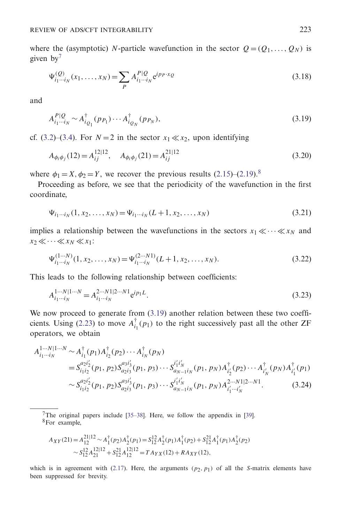where the (asymptotic) *N*-particle wavefunction in the sector  $Q = (Q_1, \ldots, Q_N)$  is given  $bv^7$ 

$$
\Psi_{i_1\cdots i_N}^{(Q)}(x_1,\ldots,x_N) = \sum_{P} A_{i_1\cdots i_N}^{P|Q} e^{i p_P \cdot x_Q}
$$
\n(3.18)

and

$$
A_{i_1\cdots i_N}^{P|Q} \sim A_{i_{Q_1}}^{\dagger}(p_{P_1})\cdots A_{i_{Q_N}}^{\dagger}(p_{P_N}),
$$
\n(3.19)

cf. [\(3.2\)](#page-11-1)–[\(3.4\)](#page-11-1). For  $N = 2$  in the sector  $x_1 \ll x_2$ , upon identifying

$$
A_{\phi_i \phi_j}(12) = A_{ij}^{12|12}, \quad A_{\phi_i \phi_j}(21) = A_{ij}^{21|12}
$$
\n(3.20)

where  $\phi_1 = X$ ,  $\phi_2 = Y$ , we recover the previous results [\(2.15\)](#page-1-1)–[\(2.19\)](#page-1-1).<sup>8</sup>

Proceeding as before, we see that the periodicity of the wavefunction in the first coordinate,

$$
\Psi_{i_1\cdots i_N}(1, x_2, \dots, x_N) = \Psi_{i_1\cdots i_N}(L+1, x_2, \dots, x_N)
$$
\n(3.21)

implies a relationship between the wavefunctions in the sectors  $x_1 \ll \cdots \ll x_N$  and  $x_2 \ll \cdots \ll x_N \ll x_1$ :

$$
\Psi_{i_1\cdots i_N}^{(1\cdots N)}(1, x_2, \ldots, x_N) = \Psi_{i_1\cdots i_N}^{(2\cdots N1)}(L+1, x_2, \ldots, x_N).
$$
\n(3.22)

This leads to the following relationship between coefficients:

$$
A_{i_1\cdots i_N}^{1\cdots N|1\cdots N} = A_{i_1\cdots i_N}^{2\cdots N1|2\cdots N1} e^{ip_1 L}.
$$
\n(3.23)

We now proceed to generate from  $(3.19)$  another relation between these two coeffi-cients. Using [\(2.23\)](#page-4-0) to move  $A_{i_1}^{\dagger}(p_1)$  to the right successively past all the other ZF operators, we obtain

$$
A_{i_1\cdots i_N}^{1\cdots N|1\cdots N} \sim A_{i_1}^{\dagger}(p_1)A_{i_2}^{\dagger}(p_2)\cdots A_{i_N}^{\dagger}(p_N)
$$
  
\n
$$
= S_{i_1i_2}^{a_2i_2'}(p_1, p_2)S_{a_2i_3}^{a_3i_3'}(p_1, p_3)\cdots S_{a_{N-1}i_N}^{i'_1i'_N}(p_1, p_N)A_{i'_2}^{\dagger}(p_2)\cdots A_{i'_N}^{\dagger}(p_N)A_{i'_1}^{\dagger}(p_1)
$$
  
\n
$$
\sim S_{i_1i_2}^{a_2i_2'}(p_1, p_2)S_{a_2i_3}^{a_3i'_3}(p_1, p_3)\cdots S_{a_{N-1}i_N}^{i'_1i'_N}(p_1, p_N)A_{i'_1\cdots i'_N}^{2\cdots N1|2\cdots N1}.
$$
 (3.24)

<sup>7</sup>The original papers include [\[35](#page-19-13)[–38](#page-19-14)]. Here, we follow the appendix in [\[39](#page-19-15)]. 8For example,

$$
A_{XY}(21) = A_{12}^{21|12} \sim A_1^{\dagger}(p_2) A_2^{\dagger}(p_1) = S_{12}^{12} A_2^{\dagger}(p_1) A_1^{\dagger}(p_2) + S_{12}^{21} A_1^{\dagger}(p_1) A_2^{\dagger}(p_2)
$$
  

$$
\sim S_{12}^{12} A_{21}^{12|12} + S_{12}^{21} A_{12}^{12|12} = T A_{YX}(12) + R A_{XY}(12),
$$

which is in agreement with [\(2.17\)](#page-1-1). Here, the arguments  $(p_2, p_1)$  of all the *S*-matrix elements have been suppressed for brevity.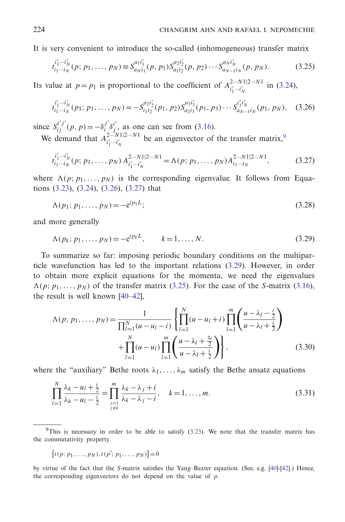It is very convenient to introduce the so-called (inhomogeneous) transfer matrix

$$
t_{i_1\cdots i_N}^{i'_1\cdots i'_N}(p; p_1,\ldots, p_N) \equiv S_{a_N i_1}^{a_1 i'_1}(p, p_1) S_{a_1 i_2}^{a_2 i'_2}(p, p_2) \cdots S_{a_{N-1} i_N}^{a_N i'_N}(p, p_N). \tag{3.25}
$$

Its value at  $p = p_1$  is proportional to the coefficient of  $A^{2 \cdots N1|2 \cdots N1}_{i'_1 \cdots i'_N}$  in [\(3.24\)](#page-13-0),

$$
t_{i_1\cdots i_N}^{i'_1\cdots i'_N}(p_1; p_1, \ldots, p_N) = -S_{i_1i_2}^{a_2i'_2}(p_1, p_2)S_{a_2i_3}^{a_3i'_3}(p_1, p_3)\cdots S_{a_{N-1}i_N}^{i'_1i'_N}(p_1, p_N), \quad (3.26)
$$

since  $S_{ij}^{i'j'}(p, p) = -\delta_i^{j'} \delta_j^{i'}$ , as one can see from [\(3.16\)](#page-13-0). We demand that  $A_{i'_1 \cdots i'_N}^{2 \cdots N_1 | 2 \cdots N_1}$  be an eigenvector of the transfer matrix,<sup>9</sup>

$$
t_{i_1\cdots i_N}^{i_1'\cdots i_N'}(p; p_1, \ldots, p_N) A_{i_1'\cdots i_N'}^{2\cdots N1|2\cdots N1} = \Lambda(p; p_1, \ldots, p_N) A_{i_1\cdots i_N}^{2\cdots N1|2\cdots N1},
$$
 (3.27)

where  $\Lambda(p; p_1, \ldots, p_N)$  is the corresponding eigenvalue. It follows from Equations [\(3.23\)](#page-13-0), [\(3.24\)](#page-13-0), [\(3.26\)](#page-13-0), [\(3.27\)](#page-13-0) that

$$
\Lambda(p_1; p_1, \dots, p_N) = -e^{ip_1 L};\tag{3.28}
$$

and more generally

$$
\Lambda(p_k; p_1, \dots, p_N) = -e^{ip_k L}, \qquad k = 1, \dots, N. \tag{3.29}
$$

To summarize so far: imposing periodic boundary conditions on the multiparticle wavefunction has led to the important relations [\(3.29\)](#page-13-0). However, in order to obtain more explicit equations for the momenta, we need the eigenvalues  $\Lambda(p; p_1, \ldots, p_N)$  of the transfer matrix [\(3.25\)](#page-13-0). For the case of the *S*-matrix [\(3.16\)](#page-13-0), the result is well known [\[40](#page-19-16)[–42\]](#page-19-17),

$$
\Lambda(p; p_1, \dots, p_N) = \frac{1}{\prod_{l=1}^N (u - u_l - i)} \left\{ \prod_{l=1}^N (u - u_l + i) \prod_{l=1}^m \left( \frac{u - \lambda_l - \frac{i}{2}}{u - \lambda_l + \frac{i}{2}} \right) + \prod_{l=1}^N (u - u_l) \prod_{l=1}^m \left( \frac{u - \lambda_l + \frac{3i}{2}}{u - \lambda_l + \frac{i}{2}} \right) \right\},
$$
\n(3.30)

where the "auxiliary" Bethe roots  $\lambda_1, \ldots, \lambda_m$  satisfy the Bethe ansatz equations

$$
\prod_{l=1}^{N} \frac{\lambda_k - u_l + \frac{i}{2}}{\lambda_k - u_l - \frac{i}{2}} = \prod_{\substack{j=1 \ j \neq k}}^{m} \frac{\lambda_k - \lambda_j + i}{\lambda_k - \lambda_j - i}, \quad k = 1, ..., m.
$$
\n(3.31)

$$
[t(p; p_1, \ldots, p_N), t(p'; p_1, \ldots, p_N)] = 0
$$

by virtue of the fact that the *S*-matrix satisfies the Yang–Baxter equation. (See, e.g. [\[40](#page-19-16)]-[\[42](#page-19-17)].) Hence, the corresponding eigenvectors do not depend on the value of *p*.

<sup>&</sup>lt;sup>9</sup>This is necessary in order to be able to satisfy  $(3.23)$ . We note that the transfer matrix has the commutativity property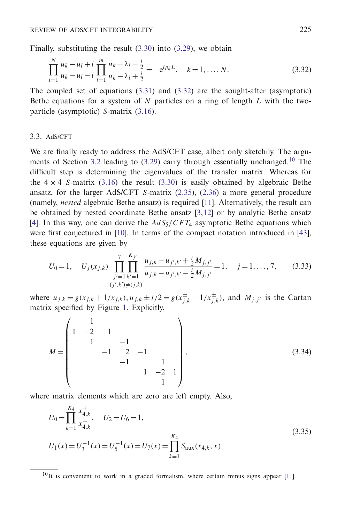Finally, substituting the result [\(3.30\)](#page-13-0) into [\(3.29\)](#page-13-0), we obtain

$$
\prod_{l=1}^{N} \frac{u_k - u_l + i}{u_k - u_l - i} \prod_{l=1}^{m} \frac{u_k - \lambda_l - \frac{i}{2}}{u_k - \lambda_l + \frac{i}{2}} = -e^{ip_k L}, \quad k = 1, ..., N.
$$
\n(3.32)

The coupled set of equations  $(3.31)$  and  $(3.32)$  are the sought-after (asymptotic) Bethe equations for a system of *N* particles on a ring of length *L* with the twoparticle (asymptotic) *S*-matrix [\(3.16\)](#page-13-0).

## 3.3. AdS/CFT

We are finally ready to address the AdS/CFT case, albeit only sketchily. The argu-ments of Section [3.2](#page-13-0) leading to  $(3.29)$  carry through essentially unchanged.<sup>10</sup> The difficult step is determining the eigenvalues of the transfer matrix. Whereas for the  $4 \times 4$  *S*-matrix [\(3.16\)](#page-13-0) the result [\(3.30\)](#page-13-0) is easily obtained by algebraic Bethe ansatz, for the larger AdS/CFT *S*-matrix [\(2.35\)](#page-5-0), [\(2.36\)](#page-5-0) a more general procedure (namely, *nested* algebraic Bethe ansatz) is required [\[11\]](#page-18-6). Alternatively, the result can be obtained by nested coordinate Bethe ansatz [\[3](#page-18-4)[,12](#page-18-7)] or by analytic Bethe ansatz [\[4\]](#page-18-5). In this way, one can derive the  $AdS_5/CFT_4$  asymptotic Bethe equations which were first conjectured in [\[10\]](#page-18-3). In terms of the compact notation introduced in [\[43](#page-19-18)], these equations are given by

$$
U_0 = 1, \quad U_j(x_{j,k}) \prod_{\substack{j'=1 \ k'=1}}^7 \prod_{\substack{k'=1 \ (j',k'-1,j',k'-1 \geq M_j, j' \ (j',k') \neq (j,k)}} \frac{u_{j,k} - u_{j',k'} + \frac{i}{2} M_{j,j'}}{u_{j,k} - u_{j',k'} - \frac{i}{2} M_{j,j'}} = 1, \quad j = 1, ..., 7,
$$
 (3.33)

where  $u_{j,k} = g(x_{j,k} + 1/x_{j,k})$ ,  $u_{j,k} \pm i/2 = g(x_{j,k}^{\pm} + 1/x_{j,k}^{\pm})$ , and  $M_{j,j'}$  is the Cartan matrix specified by Figure [1.](#page-17-0) Explicitly,

$$
M = \begin{pmatrix} 1 & 1 & & & & \\ 1 & -2 & 1 & & & \\ & 1 & -1 & & & \\ & & -1 & 2 & -1 & \\ & & & -1 & 1 & \\ & & & & 1 & -2 & 1 \\ & & & & & 1 \end{pmatrix},
$$
(3.34)

where matrix elements which are zero are left empty. Also,

$$
U_0 = \prod_{k=1}^{K_4} \frac{x_{4,k}^+}{x_{4,k}^-}, \quad U_2 = U_6 = 1,
$$
  
\n
$$
U_1(x) = U_3^{-1}(x) = U_5^{-1}(x) = U_7(x) = \prod_{k=1}^{K_4} S_{\text{aux}}(x_{4,k}, x)
$$
\n(3.35)

 $10$ It is convenient to work in a graded formalism, where certain minus signs appear [\[11\]](#page-18-6).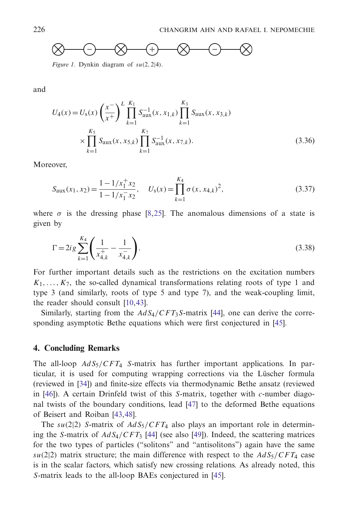

*Figure 1.* Dynkin diagram of *su*(2, 2|4).

<span id="page-17-0"></span>and

$$
U_4(x) = U_s(x) \left(\frac{x^{-}}{x^{+}}\right)^L \prod_{k=1}^{K_1} S_{aux}^{-1}(x, x_{1,k}) \prod_{k=1}^{K_3} S_{aux}(x, x_{3,k})
$$
  
 
$$
\times \prod_{k=1}^{K_5} S_{aux}(x, x_{5,k}) \prod_{k=1}^{K_7} S_{aux}^{-1}(x, x_{7,k}).
$$
 (3.36)

Moreover,

$$
S_{\text{aux}}(x_1, x_2) = \frac{1 - 1/x_1^+ x_2}{1 - 1/x_1^- x_2}, \quad U_s(x) = \prod_{k=1}^{K_4} \sigma(x, x_{4,k})^2,
$$
\n(3.37)

where  $\sigma$  is the dressing phase [\[8](#page-18-17)[,25](#page-19-3)]. The anomalous dimensions of a state is given by

$$
\Gamma = 2ig \sum_{k=1}^{K_4} \left( \frac{1}{x_{4,k}^+} - \frac{1}{x_{4,k}^-} \right). \tag{3.38}
$$

For further important details such as the restrictions on the excitation numbers  $K_1, \ldots, K_7$ , the so-called dynamical transformations relating roots of type 1 and type 3 (and similarly, roots of type 5 and type 7), and the weak-coupling limit, the reader should consult [\[10](#page-18-3)[,43](#page-19-18)].

Similarly, starting from the  $AdS_4/CFT_3S$ -matrix [\[44](#page-19-19)], one can derive the corresponding asymptotic Bethe equations which were first conjectured in [\[45](#page-19-20)].

## **4. Concluding Remarks**

The all-loop *AdS*5/*CFT*<sup>4</sup> *S*-matrix has further important applications. In particular, it is used for computing wrapping corrections via the Lüscher formula (reviewed in [\[34](#page-19-12)]) and finite-size effects via thermodynamic Bethe ansatz (reviewed in [\[46](#page-20-0)]). A certain Drinfeld twist of this *S*-matrix, together with *c*-number diagonal twists of the boundary conditions, lead [\[47](#page-20-1)] to the deformed Bethe equations of Beisert and Roiban [\[43](#page-19-18)[,48\]](#page-20-2).

The  $su(2|2)$  *S*-matrix of  $AdS_5/CFT_4$  also plays an important role in determining the *S*-matrix of *AdS*4/*CFT*<sup>3</sup> [\[44\]](#page-19-19) (see also [\[49\]](#page-20-3)). Indeed, the scattering matrices for the two types of particles ("solitons" and "antisolitons") again have the same  $su(2|2)$  matrix structure; the main difference with respect to the  $AdS_5/CFT_4$  case is in the scalar factors, which satisfy new crossing relations. As already noted, this *S*-matrix leads to the all-loop BAEs conjectured in [\[45](#page-19-20)].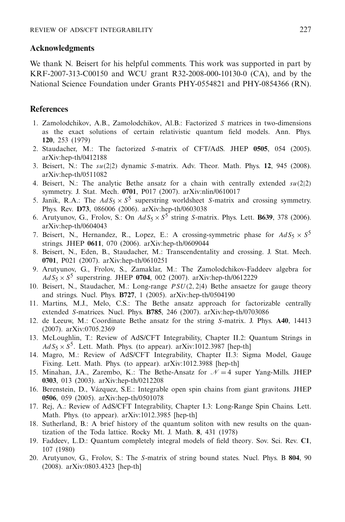# **Acknowledgments**

We thank N. Beisert for his helpful comments. This work was supported in part by KRF-2007-313-C00150 and WCU grant R32-2008-000-10130-0 (CA), and by the National Science Foundation under Grants PHY-0554821 and PHY-0854366 (RN).

# <span id="page-18-0"></span>**References**

- 1. Zamolodchikov, A.B., Zamolodchikov, Al.B.: Factorized *S* matrices in two-dimensions as the exact solutions of certain relativistic quantum field models. Ann. Phys. **120**, 253 (1979)
- <span id="page-18-1"></span>2. Staudacher, M.: The factorized *S*-matrix of CFT/AdS. JHEP **0505**, 054 (2005). arXiv:hep-th/0412188
- <span id="page-18-4"></span>3. Beisert, N.: The *su*(2|2) dynamic *S*-matrix. Adv. Theor. Math. Phys. **12**, 945 (2008). arXiv:hep-th/0511082
- <span id="page-18-5"></span>4. Beisert, N.: The analytic Bethe ansatz for a chain with centrally extended *su*(2|2) symmetry. J. Stat. Mech. **0701**, P017 (2007). arXiv:nlin/0610017
- 5. Janik, R.A.: The  $AdS_5 \times S^5$  superstring worldsheet *S*-matrix and crossing symmetry. Phys. Rev. **D73**, 086006 (2006). arXiv:hep-th/0603038
- 6. Arutyunov, G., Frolov, S.: On  $AdS_5 \times S^5$  string *S*-matrix. Phys. Lett. **B639**, 378 (2006). arXiv:hep-th/0604043
- <span id="page-18-16"></span>7. Beisert, N., Hernandez, R., Lopez, E.: A crossing-symmetric phase for  $AdS_5 \times S^5$ strings. JHEP **0611**, 070 (2006). arXiv:hep-th/0609044
- <span id="page-18-17"></span>8. Beisert, N., Eden, B., Staudacher, M.: Transcendentality and crossing. J. Stat. Mech. **0701**, P021 (2007). arXiv:hep-th/0610251
- <span id="page-18-2"></span>9. Arutyunov, G., Frolov, S., Zamaklar, M.: The Zamolodchikov-Faddeev algebra for  $AdS_5 \times S^5$  superstring. JHEP 0704, 002 (2007). arXiv:hep-th/0612229
- <span id="page-18-3"></span>10. Beisert, N., Staudacher, M.: Long-range *PSU*(2, 2|4) Bethe ansaetze for gauge theory and strings. Nucl. Phys. **B727**, 1 (2005). arXiv:hep-th/0504190
- <span id="page-18-6"></span>11. Martins, M.J., Melo, C.S.: The Bethe ansatz approach for factorizable centrally extended *S*-matrices. Nucl. Phys. **B785**, 246 (2007). arXiv:hep-th/0703086
- <span id="page-18-7"></span>12. de Leeuw, M.: Coordinate Bethe ansatz for the string *S*-matrix. J. Phys. **A40**, 14413 (2007). arXiv:0705.2369
- <span id="page-18-8"></span>13. McLoughlin, T.: Review of AdS/CFT Integrability, Chapter II.2: Quantum Strings in  $AdS_5 \times S^5$ . Lett. Math. Phys. (to appear). arXiv:1012.3987 [hep-th]
- <span id="page-18-9"></span>14. Magro, M.: Review of AdS/CFT Integrability, Chapter II.3: Sigma Model, Gauge Fixing. Lett. Math. Phys. (to appear). arXiv:1012.3988 [hep-th]
- <span id="page-18-10"></span>15. Minahan, J.A., Zarembo, K.: The Bethe-Ansatz for  $\mathcal{N}=4$  super Yang-Mills. JHEP **0303**, 013 (2003). arXiv:hep-th/0212208
- <span id="page-18-11"></span>16. Berenstein, D., Vazquez, S.E.: Integrable open spin chains from giant gravitons. JHEP ´ **0506**, 059 (2005). arXiv:hep-th/0501078
- <span id="page-18-12"></span>17. Rej, A.: Review of AdS/CFT Integrability, Chapter I.3: Long-Range Spin Chains. Lett. Math. Phys. (to appear). arXiv:1012.3985 [hep-th]
- <span id="page-18-13"></span>18. Sutherland, B.: A brief history of the quantum soliton with new results on the quantization of the Toda lattice. Rocky Mt. J. Math. **8**, 431 (1978)
- <span id="page-18-14"></span>19. Faddeev, L.D.: Quantum completely integral models of field theory. Sov. Sci. Rev. **C1**, 107 (1980)
- <span id="page-18-15"></span>20. Arutyunov, G., Frolov, S.: The *S*-matrix of string bound states. Nucl. Phys. B **804**, 90 (2008). arXiv:0803.4323 [hep-th]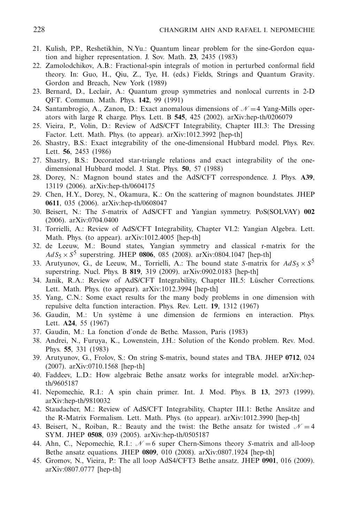- <span id="page-19-0"></span>21. Kulish, P.P., Reshetikhin, N.Yu.: Quantum linear problem for the sine-Gordon equation and higher representation. J. Sov. Math. **23**, 2435 (1983)
- 22. Zamolodchikov, A.B.: Fractional-spin integrals of motion in perturbed conformal field theory. In: Guo, H., Qiu, Z., Tye, H. (eds.) Fields, Strings and Quantum Gravity. Gordon and Breach, New York (1989)
- <span id="page-19-1"></span>23. Bernard, D., Leclair, A.: Quantum group symmetries and nonlocal currents in 2-D QFT. Commun. Math. Phys. **142**, 99 (1991)
- <span id="page-19-2"></span>24. Santambrogio, A., Zanon, D.: Exact anomalous dimensions of  $\mathcal{N}=4$  Yang-Mills operators with large R charge. Phys. Lett. B **545**, 425 (2002). arXiv:hep-th/0206079
- <span id="page-19-3"></span>25. Vieira, P., Volin, D.: Review of AdS/CFT Integrability, Chapter III.3: The Dressing Factor. Lett. Math. Phys. (to appear). arXiv:1012.3992 [hep-th]
- <span id="page-19-4"></span>26. Shastry, B.S.: Exact integrability of the one-dimensional Hubbard model. Phys. Rev. Lett. **56**, 2453 (1986)
- <span id="page-19-5"></span>27. Shastry, B.S.: Decorated star-triangle relations and exact integrability of the onedimensional Hubbard model. J. Stat. Phys. **50**, 57 (1988)
- <span id="page-19-6"></span>28. Dorey, N.: Magnon bound states and the AdS/CFT correspondence. J. Phys. **A39**, 13119 (2006). arXiv:hep-th/0604175
- <span id="page-19-7"></span>29. Chen, H.Y., Dorey, N., Okamura, K.: On the scattering of magnon boundstates. JHEP **0611**, 035 (2006). arXiv:hep-th/0608047
- <span id="page-19-8"></span>30. Beisert, N.: The *S*-matrix of AdS/CFT and Yangian symmetry. PoS(SOLVAY) **002** (2006). arXiv:0704.0400
- <span id="page-19-9"></span>31. Torrielli, A.: Review of AdS/CFT Integrability, Chapter VI.2: Yangian Algebra. Lett. Math. Phys. (to appear). arXiv:1012.4005 [hep-th]
- <span id="page-19-10"></span>32. de Leeuw, M.: Bound states, Yangian symmetry and classical r-matrix for the  $AdS_5 \times S^5$  superstring. JHEP 0806, 085 (2008). arXiv:0804.1047 [hep-th]
- <span id="page-19-11"></span>33. Arutyunov, G., de Leeuw, M., Torrielli, A.: The bound state *S*-matrix for  $AdS_5 \times S^5$ superstring. Nucl. Phys. B **819**, 319 (2009). arXiv:0902.0183 [hep-th]
- <span id="page-19-12"></span>34. Janik, R.A.: Review of AdS/CFT Integrability, Chapter III.5: Lüscher Corrections. Lett. Math. Phys. (to appear). arXiv:1012.3994 [hep-th]
- <span id="page-19-13"></span>35. Yang, C.N.: Some exact results for the many body problems in one dimension with repulsive delta function interaction. Phys. Rev. Lett. **19**, 1312 (1967)
- 36. Gaudin, M.: Un système à une dimension de fermions en interaction. Phys. Lett. **A24**, 55 (1967)
- 37. Gaudin, M.: La fonction d'onde de Bethe. Masson, Paris (1983)
- <span id="page-19-14"></span>38. Andrei, N., Furuya, K., Lowenstein, J.H.: Solution of the Kondo problem. Rev. Mod. Phys. **55**, 331 (1983)
- <span id="page-19-15"></span>39. Arutyunov, G., Frolov, S.: On string S-matrix, bound states and TBA. JHEP **0712**, 024 (2007). arXiv:0710.1568 [hep-th]
- <span id="page-19-16"></span>40. Faddeev, L.D.: How algebraic Bethe ansatz works for integrable model. arXiv:hepth/9605187
- 41. Nepomechie, R.I.: A spin chain primer. Int. J. Mod. Phys. B **13**, 2973 (1999). arXiv:hep-th/9810032
- <span id="page-19-17"></span>42. Staudacher, M.: Review of AdS/CFT Integrability, Chapter III.1: Bethe Ansätze and the R-Matrix Formalism. Lett. Math. Phys. (to appear). arXiv:1012.3990 [hep-th]
- <span id="page-19-18"></span>43. Beisert, N., Roiban, R.: Beauty and the twist: the Bethe ansatz for twisted  $\mathcal{N}=4$ SYM. JHEP **0508**, 039 (2005). arXiv:hep-th/0505187
- <span id="page-19-19"></span>44. Ahn, C., Nepomechie, R.I.:  $\mathcal{N} = 6$  super Chern-Simons theory *S*-matrix and all-loop Bethe ansatz equations. JHEP **0809**, 010 (2008). arXiv:0807.1924 [hep-th]
- <span id="page-19-20"></span>45. Gromov, N., Vieira, P.: The all loop AdS4/CFT3 Bethe ansatz. JHEP **0901**, 016 (2009). arXiv:0807.0777 [hep-th]